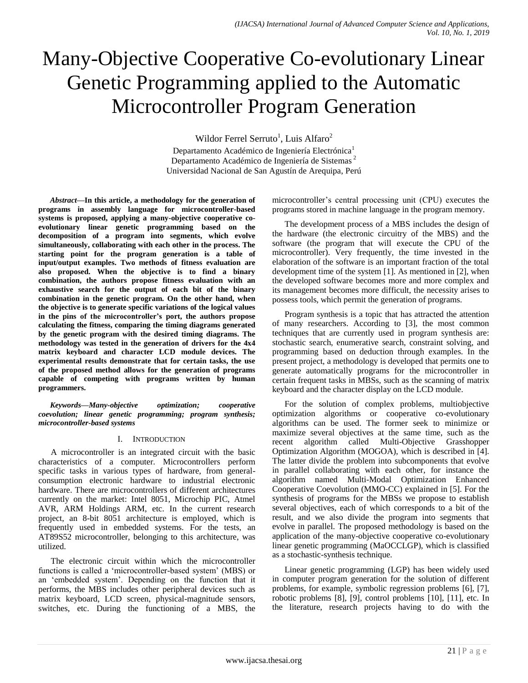# Many-Objective Cooperative Co-evolutionary Linear Genetic Programming applied to the Automatic Microcontroller Program Generation

Wildor Ferrel Serruto<sup>1</sup>, Luis Alfaro<sup>2</sup>

Departamento Académico de Ingeniería Electrónica<sup>1</sup> Departamento Académico de Ingeniería de Sistemas <sup>2</sup> Universidad Nacional de San Agustín de Arequipa, Perú

*Abstract***—In this article, a methodology for the generation of programs in assembly language for microcontroller-based systems is proposed, applying a many-objective cooperative coevolutionary linear genetic programming based on the decomposition of a program into segments, which evolve simultaneously, collaborating with each other in the process. The starting point for the program generation is a table of input/output examples. Two methods of fitness evaluation are also proposed. When the objective is to find a binary combination, the authors propose fitness evaluation with an exhaustive search for the output of each bit of the binary combination in the genetic program. On the other hand, when the objective is to generate specific variations of the logical values in the pins of the microcontroller's port, the authors propose calculating the fitness, comparing the timing diagrams generated by the genetic program with the desired timing diagrams. The methodology was tested in the generation of drivers for the 4x4 matrix keyboard and character LCD module devices. The experimental results demonstrate that for certain tasks, the use of the proposed method allows for the generation of programs capable of competing with programs written by human programmers.**

*Keywords—Many-objective optimization; cooperative coevolution; linear genetic programming; program synthesis; microcontroller-based systems*

# I. INTRODUCTION

A microcontroller is an integrated circuit with the basic characteristics of a computer. Microcontrollers perform specific tasks in various types of hardware, from generalconsumption electronic hardware to industrial electronic hardware. There are microcontrollers of different architectures currently on the market: Intel 8051, Microchip PIC, Atmel AVR, ARM Holdings ARM, etc. In the current research project, an 8-bit 8051 architecture is employed, which is frequently used in embedded systems. For the tests, an AT89S52 microcontroller, belonging to this architecture, was utilized.

The electronic circuit within which the microcontroller functions is called a 'microcontroller-based system' (MBS) or an 'embedded system'. Depending on the function that it performs, the MBS includes other peripheral devices such as matrix keyboard, LCD screen, physical-magnitude sensors, switches, etc. During the functioning of a MBS, the microcontroller's central processing unit (CPU) executes the programs stored in machine language in the program memory.

The development process of a MBS includes the design of the hardware (the electronic circuitry of the MBS) and the software (the program that will execute the CPU of the microcontroller). Very frequently, the time invested in the elaboration of the software is an important fraction of the total development time of the system [1]. As mentioned in [2], when the developed software becomes more and more complex and its management becomes more difficult, the necessity arises to possess tools, which permit the generation of programs.

Program synthesis is a topic that has attracted the attention of many researchers. According to [3], the most common techniques that are currently used in program synthesis are: stochastic search, enumerative search, constraint solving, and programming based on deduction through examples. In the present project, a methodology is developed that permits one to generate automatically programs for the microcontroller in certain frequent tasks in MBSs, such as the scanning of matrix keyboard and the character display on the LCD module.

For the solution of complex problems, multiobjective optimization algorithms or cooperative co-evolutionary algorithms can be used. The former seek to minimize or maximize several objectives at the same time, such as the recent algorithm called Multi-Objective Grasshopper Optimization Algorithm (MOGOA), which is described in [4]. The latter divide the problem into subcomponents that evolve in parallel collaborating with each other, for instance the algorithm named Multi-Modal Optimization Enhanced Cooperative Coevolution (MMO-CC) explained in [5]. For the synthesis of programs for the MBSs we propose to establish several objectives, each of which corresponds to a bit of the result, and we also divide the program into segments that evolve in parallel. The proposed methodology is based on the application of the many-objective cooperative co-evolutionary linear genetic programming (MaOCCLGP), which is classified as a stochastic-synthesis technique.

Linear genetic programming (LGP) has been widely used in computer program generation for the solution of different problems, for example, symbolic regression problems [6], [7], robotic problems [8], [9], control problems [10], [11], etc. In the literature, research projects having to do with the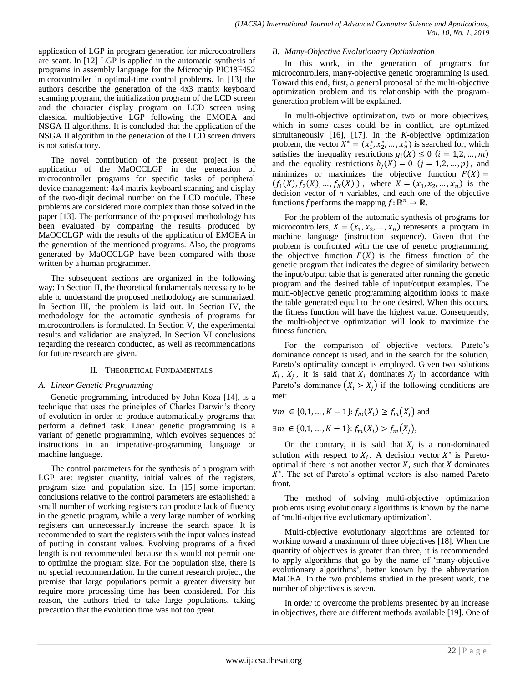application of LGP in program generation for microcontrollers are scant. In [12] LGP is applied in the automatic synthesis of programs in assembly language for the Microchip PIC18F452 microcontroller in optimal-time control problems. In [13] the authors describe the generation of the 4x3 matrix keyboard scanning program, the initialization program of the LCD screen and the character display program on LCD screen using classical multiobjective LGP following the EMOEA and NSGA II algorithms. It is concluded that the application of the NSGA II algorithm in the generation of the LCD screen drivers is not satisfactory.

The novel contribution of the present project is the application of the MaOCCLGP in the generation of microcontroller programs for specific tasks of peripheral device management: 4x4 matrix keyboard scanning and display of the two-digit decimal number on the LCD module. These problems are considered more complex than those solved in the paper [13]. The performance of the proposed methodology has been evaluated by comparing the results produced by MaOCCLGP with the results of the application of EMOEA in the generation of the mentioned programs. Also, the programs generated by MaOCCLGP have been compared with those written by a human programmer.

The subsequent sections are organized in the following way: In Section II, the theoretical fundamentals necessary to be able to understand the proposed methodology are summarized. In Section III, the problem is laid out. In Section IV, the methodology for the automatic synthesis of programs for microcontrollers is formulated. In Section V, the experimental results and validation are analyzed. In Section VI conclusions regarding the research conducted, as well as recommendations for future research are given.

# II. THEORETICAL FUNDAMENTALS

# *A. Linear Genetic Programming*

Genetic programming, introduced by John Koza [14], is a technique that uses the principles of Charles Darwin's theory of evolution in order to produce automatically programs that perform a defined task. Linear genetic programming is a variant of genetic programming, which evolves sequences of instructions in an imperative-programming language or machine language.

The control parameters for the synthesis of a program with LGP are: register quantity, initial values of the registers, program size, and population size. In [15] some important conclusions relative to the control parameters are established: a small number of working registers can produce lack of fluency in the genetic program, while a very large number of working registers can unnecessarily increase the search space. It is recommended to start the registers with the input values instead of putting in constant values. Evolving programs of a fixed length is not recommended because this would not permit one to optimize the program size. For the population size, there is no special recommendation. In the current research project, the premise that large populations permit a greater diversity but require more processing time has been considered. For this reason, the authors tried to take large populations, taking precaution that the evolution time was not too great.

# *B. Many-Objective Evolutionary Optimization*

In this work, in the generation of programs for microcontrollers, many-objective genetic programming is used. Toward this end, first, a general proposal of the multi-objective optimization problem and its relationship with the programgeneration problem will be explained.

In multi-objective optimization, two or more objectives, which in some cases could be in conflict, are optimized simultaneously [16], [17]. In the *K*-objective optimization problem, the vector  $X^* = (x_1^*, x_2^*, \dots, x_n^*)$  is searched for, which satisfies the inequality restrictions  $g_i(X) \le 0$   $(i = 1, 2, ..., m)$ and the equality restrictions  $h_i(X) = 0$   $(j = 1, 2, ..., p)$ , and minimizes or maximizes the objective function  $F(X) =$  $(f_1(X), f_2(X), ..., f_K(X))$ , where  $X = (x_1, x_2, ..., x_n)$  is the decision vector of *n* variables, and each one of the objective functions *f* performs the mapping  $f: \mathbb{R}^n \to \mathbb{R}$ .

For the problem of the automatic synthesis of programs for microcontrollers,  $X = (x_1, x_2, ..., x_n)$  represents a program in machine language (instruction sequence). Given that the problem is confronted with the use of genetic programming, the objective function  $F(X)$  is the fitness function of the genetic program that indicates the degree of similarity between the input/output table that is generated after running the genetic program and the desired table of input/output examples. The multi-objective genetic programming algorithm looks to make the table generated equal to the one desired. When this occurs, the fitness function will have the highest value. Consequently, the multi-objective optimization will look to maximize the fitness function.

For the comparison of objective vectors, Pareto's dominance concept is used, and in the search for the solution, Pareto's optimality concept is employed. Given two solutions  $X_i$ ,  $X_j$ , it is said that  $X_i$  dominates  $X_j$  in accordance with Pareto's dominance  $(X_i > X_j)$  if the following conditions are met:

$$
\forall m \in \{0, 1, ..., K - 1\}
$$
:  $f_m(X_i) \ge f_m(X_j)$  and

 $\exists m \in \{0, 1, ..., K - 1\}$ :  $f_m(X_i) > f_m(X_i)$ ,

On the contrary, it is said that  $X_i$  is a non-dominated solution with respect to  $X_i$ . A decision vector  $X^*$  is Paretooptimal if there is not another vector  $X$ , such that  $X$  dominates  $X^*$ . The set of Pareto's optimal vectors is also named Pareto front.

The method of solving multi-objective optimization problems using evolutionary algorithms is known by the name of ‗multi-objective evolutionary optimization'.

Multi-objective evolutionary algorithms are oriented for working toward a maximum of three objectives [18]. When the quantity of objectives is greater than three, it is recommended to apply algorithms that go by the name of 'many-objective evolutionary algorithms', better known by the abbreviation MaOEA. In the two problems studied in the present work, the number of objectives is seven.

In order to overcome the problems presented by an increase in objectives, there are different methods available [19]. One of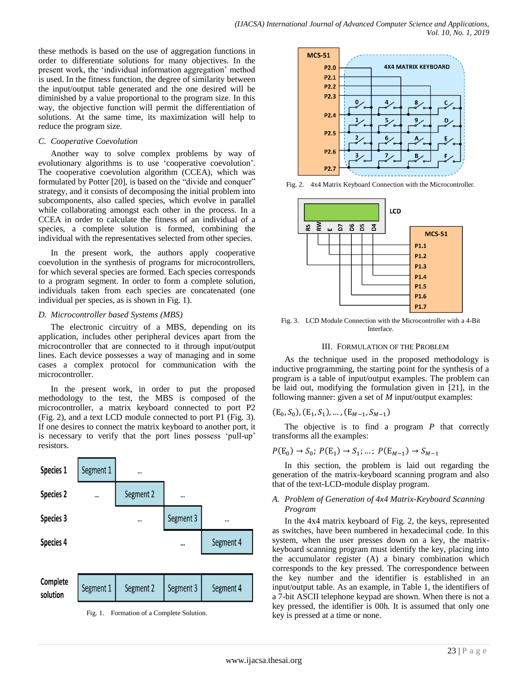these methods is based on the use of aggregation functions in order to differentiate solutions for many objectives. In the present work, the 'individual information aggregation' method is used. In the fitness function, the degree of similarity between the input/output table generated and the one desired will be diminished by a value proportional to the program size. In this way, the objective function will permit the differentiation of solutions. At the same time, its maximization will help to reduce the program size.

#### *C. Cooperative Coevolution*

Another way to solve complex problems by way of evolutionary algorithms is to use 'cooperative coevolution'. The cooperative coevolution algorithm (CCEA), which was formulated by Potter [20], is based on the "divide and conquer" strategy, and it consists of decomposing the initial problem into subcomponents, also called species, which evolve in parallel while collaborating amongst each other in the process. In a CCEA in order to calculate the fitness of an individual of a species, a complete solution is formed, combining the individual with the representatives selected from other species.

In the present work, the authors apply cooperative coevolution in the synthesis of programs for microcontrollers, for which several species are formed. Each species corresponds to a program segment. In order to form a complete solution, individuals taken from each species are concatenated (one individual per species, as is shown in Fig. 1).

#### *D. Microcontroller based Systems (MBS)*

The electronic circuitry of a MBS, depending on its application, includes other peripheral devices apart from the microcontroller that are connected to it through input/output lines. Each device possesses a way of managing and in some cases a complex protocol for communication with the microcontroller.

In the present work, in order to put the proposed methodology to the test, the MBS is composed of the microcontroller, a matrix keyboard connected to port P2 (Fig. 2), and a text LCD module connected to port P1 (Fig. 3). If one desires to connect the matrix keyboard to another port, it is necessary to verify that the port lines possess 'pull-up' resistors.







Fig. 2. 4x4 Matrix Keyboard Connection with the Microcontroller.



Fig. 3. LCD Module Connection with the Microcontroller with a 4-Bit Interface.

# III. FORMULATION OF THE PROBLEM

As the technique used in the proposed methodology is inductive programming, the starting point for the synthesis of a program is a table of input/output examples. The problem can be laid out, modifying the formulation given in [21], in the following manner: given a set of *M* input/output examples:

$$
(\mathcal{E}_0,S_0), (\mathcal{E}_1,S_1), \ldots, (\mathcal{E}_{M-1},S_{M-1})
$$

The objective is to find a program *P* that correctly transforms all the examples:

$$
P(E_0) \to S_0
$$
;  $P(E_1) \to S_1$ ; ...;  $P(E_{M-1}) \to S_{M-1}$ 

In this section, the problem is laid out regarding the generation of the matrix-keyboard scanning program and also that of the text-LCD-module display program.

#### *A. Problem of Generation of 4x4 Matrix-Keyboard Scanning Program*

In the 4x4 matrix keyboard of Fig. 2, the keys, represented as switches, have been numbered in hexadecimal code. In this system, when the user presses down on a key, the matrixkeyboard scanning program must identify the key, placing into the accumulator register (A) a binary combination which corresponds to the key pressed. The correspondence between the key number and the identifier is established in an input/output table. As an example, in Table 1, the identifiers of a 7-bit ASCII telephone keypad are shown. When there is not a key pressed, the identifier is 00h. It is assumed that only one key is pressed at a time or none.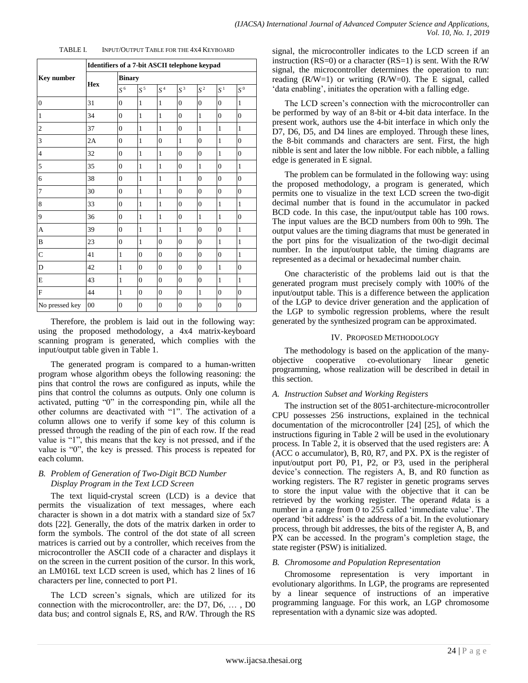|                   | Identifiers of a 7-bit ASCII telephone keypad |                |                |                  |                    |                |                      |                |  |  |
|-------------------|-----------------------------------------------|----------------|----------------|------------------|--------------------|----------------|----------------------|----------------|--|--|
| <b>Key number</b> |                                               | <b>Binary</b>  |                |                  |                    |                |                      |                |  |  |
|                   | Hex                                           | $S^6$          | $S^5$          | $S^4$            | $\boldsymbol{S}^3$ | $S^2$          | $\overline{S}^{\,1}$ | $S^0$          |  |  |
| $\overline{0}$    | 31                                            | $\overline{0}$ | $\mathbf{1}$   | $\mathbf{1}$     | $\overline{0}$     | $\overline{0}$ | $\overline{0}$       | $\mathbf{1}$   |  |  |
| $\mathbf{1}$      | 34                                            | $\overline{0}$ | $\mathbf{1}$   | $\mathbf{1}$     | $\theta$           | $\mathbf{1}$   | $\overline{0}$       | $\theta$       |  |  |
| $\overline{c}$    | 37                                            | $\overline{0}$ | $\mathbf{1}$   | $\mathbf{1}$     | $\overline{0}$     | $\mathbf{1}$   | $\mathbf{1}$         | $\mathbf{1}$   |  |  |
| 3                 | 2A                                            | $\overline{0}$ | $\mathbf{1}$   | $\boldsymbol{0}$ | $\mathbf{1}$       | $\overline{0}$ | $\mathbf{1}$         | $\overline{0}$ |  |  |
| $\overline{4}$    | 32                                            | $\overline{0}$ | $\mathbf{1}$   | $\mathbf{1}$     | $\overline{0}$     | $\overline{0}$ | $\mathbf{1}$         | $\overline{0}$ |  |  |
| 5                 | 35                                            | $\overline{0}$ | $\mathbf{1}$   | $\mathbf{1}$     | $\theta$           | $\mathbf{1}$   | $\overline{0}$       | $\mathbf{1}$   |  |  |
| 6                 | 38                                            | $\overline{0}$ | $\mathbf{1}$   | $\mathbf{1}$     | $\mathbf{1}$       | $\overline{0}$ | $\overline{0}$       | $\overline{0}$ |  |  |
| $\overline{7}$    | 30                                            | $\overline{0}$ | $\mathbf{1}$   | $\mathbf{1}$     | $\overline{0}$     | $\overline{0}$ | $\overline{0}$       | $\overline{0}$ |  |  |
| $\,8\,$           | 33                                            | $\overline{0}$ | $\mathbf{1}$   | $\mathbf{1}$     | $\overline{0}$     | $\overline{0}$ | $\mathbf{1}$         | $\mathbf{1}$   |  |  |
| 9                 | 36                                            | $\overline{0}$ | $\mathbf{1}$   | $\mathbf{1}$     | $\overline{0}$     | $\mathbf{1}$   | $\mathbf{1}$         | $\overline{0}$ |  |  |
| $\mathbf{A}$      | 39                                            | $\overline{0}$ | $\mathbf{1}$   | $\mathbf{1}$     | 1                  | $\overline{0}$ | $\overline{0}$       | $\mathbf{1}$   |  |  |
| B                 | 23                                            | $\overline{0}$ | $\mathbf{1}$   | $\boldsymbol{0}$ | $\overline{0}$     | $\overline{0}$ | $\mathbf{1}$         | $\mathbf{1}$   |  |  |
| $\mathsf{C}$      | 41                                            | $\mathbf{1}$   | $\overline{0}$ | $\overline{0}$   | $\overline{0}$     | $\overline{0}$ | $\overline{0}$       | $\mathbf{1}$   |  |  |
| D                 | 42                                            | $\mathbf{1}$   | $\overline{0}$ | $\overline{0}$   | $\overline{0}$     | $\overline{0}$ | $\mathbf{1}$         | $\overline{0}$ |  |  |
| E                 | 43                                            | $\mathbf{1}$   | $\overline{0}$ | $\overline{0}$   | $\theta$           | $\overline{0}$ | $\mathbf{1}$         | $\mathbf{1}$   |  |  |
| F                 | 44                                            | $\mathbf{1}$   | $\overline{0}$ | $\overline{0}$   | $\theta$           | $\mathbf{1}$   | $\overline{0}$       | $\overline{0}$ |  |  |
| No pressed key    | $00\,$                                        | $\overline{0}$ | $\overline{0}$ | $\overline{0}$   | $\overline{0}$     | $\overline{0}$ | $\mathbf{0}$         | $\overline{0}$ |  |  |

Therefore, the problem is laid out in the following way: using the proposed methodology, a 4x4 matrix-keyboard scanning program is generated, which complies with the input/output table given in Table 1.

The generated program is compared to a human-written program whose algorithm obeys the following reasoning: the pins that control the rows are configured as inputs, while the pins that control the columns as outputs. Only one column is activated, putting  $"0"$  in the corresponding pin, while all the other columns are deactivated with "1". The activation of a column allows one to verify if some key of this column is pressed through the reading of the pin of each row. If the read value is "1", this means that the key is not pressed, and if the value is "0", the key is pressed. This process is repeated for each column.

# *B. Problem of Generation of Two-Digit BCD Number Display Program in the Text LCD Screen*

The text liquid-crystal screen (LCD) is a device that permits the visualization of text messages, where each character is shown in a dot matrix with a standard size of 5x7 dots [22]. Generally, the dots of the matrix darken in order to form the symbols. The control of the dot state of all screen matrices is carried out by a controller, which receives from the microcontroller the ASCII code of a character and displays it on the screen in the current position of the cursor. In this work, an LM016L text LCD screen is used, which has 2 lines of 16 characters per line, connected to port P1.

The LCD screen's signals, which are utilized for its connection with the microcontroller, are: the D7, D6, … , D0 data bus; and control signals E, RS, and R/W. Through the RS

signal, the microcontroller indicates to the LCD screen if an instruction (RS=0) or a character (RS=1) is sent. With the R/W signal, the microcontroller determines the operation to run: reading  $(R/W=1)$  or writing  $(R/W=0)$ . The E signal, called 'data enabling', initiates the operation with a falling edge.

The LCD screen's connection with the microcontroller can be performed by way of an 8-bit or 4-bit data interface. In the present work, authors use the 4-bit interface in which only the D7, D6, D5, and D4 lines are employed. Through these lines, the 8-bit commands and characters are sent. First, the high nibble is sent and later the low nibble. For each nibble, a falling edge is generated in E signal.

The problem can be formulated in the following way: using the proposed methodology, a program is generated, which permits one to visualize in the text LCD screen the two-digit decimal number that is found in the accumulator in packed BCD code. In this case, the input/output table has 100 rows. The input values are the BCD numbers from 00h to 99h. The output values are the timing diagrams that must be generated in the port pins for the visualization of the two-digit decimal number. In the input/output table, the timing diagrams are represented as a decimal or hexadecimal number chain.

One characteristic of the problems laid out is that the generated program must precisely comply with 100% of the input/output table. This is a difference between the application of the LGP to device driver generation and the application of the LGP to symbolic regression problems, where the result generated by the synthesized program can be approximated.

# IV. PROPOSED METHODOLOGY

The methodology is based on the application of the manyobjective cooperative co-evolutionary linear genetic programming, whose realization will be described in detail in this section.

# *A. Instruction Subset and Working Registers*

The instruction set of the 8051-architecture-microcontroller CPU possesses 256 instructions, explained in the technical documentation of the microcontroller [24] [25], of which the instructions figuring in Table 2 will be used in the evolutionary process. In Table 2, it is observed that the used registers are: A (ACC o accumulator), B, R0, R7, and PX. PX is the register of input/output port P0, P1, P2, or P3, used in the peripheral device's connection. The registers A, B, and R0 function as working registers. The R7 register in genetic programs serves to store the input value with the objective that it can be retrieved by the working register. The operand #data is a number in a range from 0 to 255 called 'immediate value'. The operand ‗bit address' is the address of a bit. In the evolutionary process, through bit addresses, the bits of the register A, B, and PX can be accessed. In the program's completion stage, the state register (PSW) is initialized.

# *B. Chromosome and Population Representation*

Chromosome representation is very important in evolutionary algorithms. In LGP, the programs are represented by a linear sequence of instructions of an imperative programming language. For this work, an LGP chromosome representation with a dynamic size was adopted.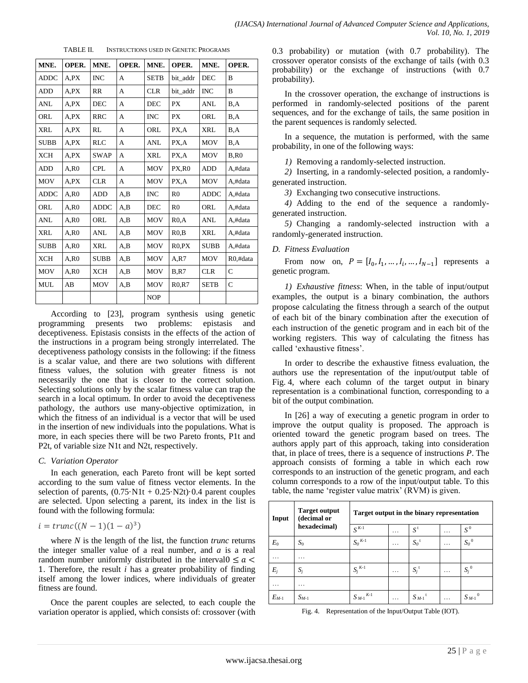| MNE.        | OPER.   | MNE.        | OPER. | MNE.        | OPER.          | MNE.        | OPER.         |
|-------------|---------|-------------|-------|-------------|----------------|-------------|---------------|
| <b>ADDC</b> | A.PX    | <b>INC</b>  | A     | <b>SETB</b> | bit addr       | <b>DEC</b>  | B             |
| ADD         | $A,$ PX | RR          | A     | <b>CLR</b>  | bit addr       | <b>INC</b>  | B             |
| <b>ANL</b>  | A,PX    | <b>DEC</b>  | A     | <b>DEC</b>  | <b>PX</b>      | <b>ANL</b>  | B, A          |
| ORL         | A,PX    | <b>RRC</b>  | А     | <b>INC</b>  | <b>PX</b>      | ORL         | B.A           |
| <b>XRL</b>  | A,PX    | RL          | A     | ORL         | PX,A           | <b>XRL</b>  | B.A           |
| <b>SUBB</b> | A.PX    | <b>RLC</b>  | A     | ANL         | PX,A           | <b>MOV</b>  | B,A           |
| <b>XCH</b>  | A.PX    | <b>SWAP</b> | A     | XRL         | PX,A           | MOV         | B.R0          |
| <b>ADD</b>  | A.R0    | <b>CPL</b>  | A     | <b>MOV</b>  | PX,R0          | <b>ADD</b>  | A,#data       |
| MOV         | A.PX    | <b>CLR</b>  | А     | MOV         | PX,A           | MOV         | A,#data       |
| <b>ADDC</b> | A.R0    | <b>ADD</b>  | A,B   | <b>INC</b>  | R <sub>0</sub> | <b>ADDC</b> | A,#data       |
| ORL         | A.R0    | <b>ADDC</b> | A,B   | <b>DEC</b>  | R <sub>0</sub> | ORL         | A,#data       |
| <b>ANL</b>  | A.R0    | ORL         | A,B   | <b>MOV</b>  | R0.A           | <b>ANL</b>  | A,#data       |
| <b>XRL</b>  | A.R0    | ANL         | A, B  | <b>MOV</b>  | R0,B           | <b>XRL</b>  | A,#data       |
| <b>SUBB</b> | A.R0    | <b>XRL</b>  | A, B  | MOV         | R0.PX          | <b>SUBB</b> | A,#data       |
| <b>XCH</b>  | A, R0   | <b>SUBB</b> | A, B  | MOV         | A.R7           | <b>MOV</b>  | R0.#data      |
| <b>MOV</b>  | A.R0    | <b>XCH</b>  | A,B   | <b>MOV</b>  | B.R7           | <b>CLR</b>  | $\mathcal{C}$ |
| <b>MUL</b>  | AB      | MOV         | A,B   | <b>MOV</b>  | R0, R7         | <b>SETB</b> | $\mathsf{C}$  |
|             |         |             |       | <b>NOP</b>  |                |             |               |

TABLE II. INSTRUCTIONS USED IN GENETIC PROGRAMS

According to [23], program synthesis using genetic programming presents two problems: epistasis and deceptiveness. Epistasis consists in the effects of the action of the instructions in a program being strongly interrelated. The deceptiveness pathology consists in the following: if the fitness is a scalar value, and there are two solutions with different fitness values, the solution with greater fitness is not necessarily the one that is closer to the correct solution. Selecting solutions only by the scalar fitness value can trap the search in a local optimum. In order to avoid the deceptiveness pathology, the authors use many-objective optimization, in which the fitness of an individual is a vector that will be used in the insertion of new individuals into the populations. What is more, in each species there will be two Pareto fronts, P1t and P2t, of variable size N1t and N2t, respectively.

#### *C. Variation Operator*

In each generation, each Pareto front will be kept sorted according to the sum value of fitness vector elements. In the selection of parents,  $(0.75 \cdot \text{N1t} + 0.25 \cdot \text{N2t}) \cdot 0.4$  parent couples are selected. Upon selecting a parent, its index in the list is found with the following formula:

$$
i = \operatorname{trunc}((N-1)(1-a)^3)
$$

where *N* is the length of the list, the function *trunc* returns the integer smaller value of a real number, and *a* is a real random number uniformly distributed in the interval $0 \le a$  . Therefore, the result *i* has a greater probability of finding itself among the lower indices, where individuals of greater fitness are found.

Once the parent couples are selected, to each couple the variation operator is applied, which consists of: crossover (with 0.3 probability) or mutation (with 0.7 probability). The crossover operator consists of the exchange of tails (with 0.3 probability) or the exchange of instructions (with 0.7 probability).

In the crossover operation, the exchange of instructions is performed in randomly-selected positions of the parent sequences, and for the exchange of tails, the same position in the parent sequences is randomly selected.

In a sequence, the mutation is performed, with the same probability, in one of the following ways:

*1)* Removing a randomly-selected instruction.

*2)* Inserting, in a randomly-selected position, a randomlygenerated instruction.

*3)* Exchanging two consecutive instructions.

*4)* Adding to the end of the sequence a randomlygenerated instruction.

*5)* Changing a randomly-selected instruction with a randomly-generated instruction.

#### *D. Fitness Evaluation*

From now on,  $P = [I_0, I_1, ..., I_i, ..., I_{N-1}]$  represents a genetic program.

*1) Exhaustive fitness*: When, in the table of input/output examples, the output is a binary combination, the authors propose calculating the fitness through a search of the output of each bit of the binary combination after the execution of each instruction of the genetic program and in each bit of the working registers. This way of calculating the fitness has called 'exhaustive fitness'.

In order to describe the exhaustive fitness evaluation, the authors use the representation of the input/output table of Fig. 4, where each column of the target output in binary representation is a combinational function, corresponding to a bit of the output combination.

In [26] a way of executing a genetic program in order to improve the output quality is proposed. The approach is oriented toward the genetic program based on trees. The authors apply part of this approach, taking into consideration that, in place of trees, there is a sequence of instructions *P*. The approach consists of forming a table in which each row corresponds to an instruction of the genetic program, and each column corresponds to a row of the input/output table. To this table, the name 'register value matrix' (RVM) is given.

| Input     | <b>Target output</b><br>(decimal or | Target output in the binary representation |           |                        |   |           |  |  |
|-----------|-------------------------------------|--------------------------------------------|-----------|------------------------|---|-----------|--|--|
|           | hexadecimal)                        | $S^{K-1}$                                  | .         | $S^{\rm t}$            | . | $S^0$     |  |  |
| $E_0$     | $S_0$                               | $S_0^{K-1}$                                | $\ddotsc$ | $S_0$ <sup>t</sup>     | . | $S_0{}^0$ |  |  |
| .         | .                                   |                                            |           |                        |   |           |  |  |
| $E_i$     | $S_i$                               | $S_i^{K-1}$                                | .         | $S_i^t$                | . | $S_i^0$   |  |  |
| .         | .                                   |                                            |           |                        |   |           |  |  |
| $E_{M-1}$ | $S_{M-1}$                           | $K-1$<br>$S_{M-1}$                         | .         | $S_{M-1}$ <sup>t</sup> | . | $S_{M-1}$ |  |  |

Fig. 4. Representation of the Input/Output Table (IOT).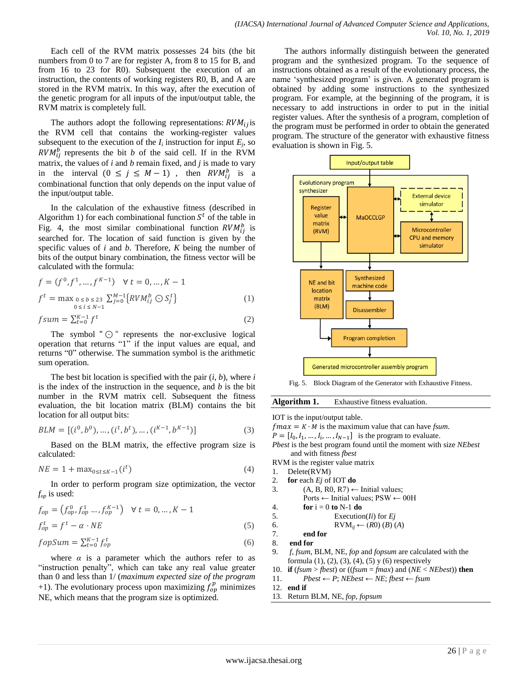Each cell of the RVM matrix possesses 24 bits (the bit numbers from 0 to 7 are for register A, from 8 to 15 for B, and from 16 to 23 for R0). Subsequent the execution of an instruction, the contents of working registers R0, B, and A are stored in the RVM matrix. In this way, after the execution of the genetic program for all inputs of the input/output table, the RVM matrix is completely full.

The authors adopt the following representations:  $RVM_{ij}$  is the RVM cell that contains the working-register values subsequent to the execution of the  $I_i$  instruction for input  $E_j$ , so  $RVM_{ii}^b$  represents the bit *b* of the said cell. If in the RVM matrix, the values of *i* and *b* remain fixed, and *j* is made to vary in the interval  $(0 \le j \le M-1)$ , then  $RVM_{ii}^b$  is a combinational function that only depends on the input value of the input/output table.

In the calculation of the exhaustive fitness (described in Algorithm 1) for each combinational function  $S<sup>t</sup>$  of the table in Fig. 4, the most similar combinational function  $RVM_{ii}^{b}$  is searched for. The location of said function is given by the specific values of *i* and *b*. Therefore, *K* being the number of bits of the output binary combination, the fitness vector will be calculated with the formula:

$$
f = (f^0, f^1, ..., f^{K-1}) \quad \forall \ t = 0, ..., K-1
$$
  

$$
f^t = \max_{\substack{0 \le b \le 23 \\ 0 \le i \le N-1}} \sum_{j=0}^{M-1} \{RVM_{ij}^b \odot S_j^t\}
$$
 (1)

$$
fsum = \sum_{t=0}^{K-1} f^t
$$
 (2)

The symbol " $\odot$ " represents the nor-exclusive logical operation that returns "1" if the input values are equal, and returns "0" otherwise. The summation symbol is the arithmetic sum operation.

The best bit location is specified with the pair (*i, b*), where *i* is the index of the instruction in the sequence, and *b* is the bit number in the RVM matrix cell. Subsequent the fitness evaluation, the bit location matrix (BLM) contains the bit location for all output bits:

$$
BLM = [(i0, b0), ..., (it, bt), ..., (iK-1, bK-1)]
$$
\n(3)

Based on the BLM matrix, the effective program size is calculated:

$$
NE = 1 + \max_{0 \le t \le K-1} (i^t)
$$
 (4)

In order to perform program size optimization, the vector *fop* is used:

$$
f_{op} = (f_{op}^0, f_{op}^1 \dots, f_{op}^{K-1}) \quad \forall \ t = 0, \dots, K-1
$$
  

$$
f_{op}^t = f^t - \alpha \cdot NE
$$
 (5)

$$
fopSum = \sum_{t=0}^{K-1} f_{op}^t
$$
\n(6)

where  $\alpha$  is a parameter which the authors refer to as "instruction penalty", which can take any real value greater than 0 and less than 1/ (*maximum expected size of the program* +1). The evolutionary process upon maximizing  $f_{on}^p$  minimizes NE, which means that the program size is optimized.

The authors informally distinguish between the generated program and the synthesized program. To the sequence of instructions obtained as a result of the evolutionary process, the name 'synthesized program' is given. A generated program is obtained by adding some instructions to the synthesized program. For example, at the beginning of the program, it is necessary to add instructions in order to put in the initial register values. After the synthesis of a program, completion of the program must be performed in order to obtain the generated program. The structure of the generator with exhaustive fitness evaluation is shown in Fig. 5.



Fig. 5. Block Diagram of the Generator with Exhaustive Fitness.



IOT is the input/output table.

 $fmax = K \cdot M$  is the maximum value that can have *fsum*.

 $P = [I_0, I_1, \dots, I_i, \dots, I_{N-1}]$  is the program to evaluate.

*Pbest* is the best program found until the moment with size *NEbest* and with fitness *fbest*

RVM is the register value matrix

- 1. Delete(RVM)
- 2. **for** each *Ej* of IOT **do**
- 3. (A, B, R0, R7)  $\leftarrow$  Initial values;
	- Ports ← Initial values; PSW ← 00H
- 4. **for**  $i = 0$  **to** N-1 **do**
- 5. Execution(*Ii*) for *Ej*

6. 
$$
RVM_{ij} \leftarrow (R0) (B) (A)
$$

```
7. end for
```

```
8. end for
```
- 9. *f*, *fsum*, BLM, NE, *fop* and *fopsum* are calculated with the formula  $(1)$ ,  $(2)$ ,  $(3)$ ,  $(4)$ ,  $(5)$  y  $(6)$  respectively
- 10. **if** (*fsum* > *fbest*) or ((*fsum* = *fmax*) and (*NE* < *NEbest*)) **then**
- 11. *Pbest*  $\leftarrow$  *P*; *NEbest*  $\leftarrow$  *NE*; *fbest*  $\leftarrow$  *fsum*
- 12. **end if**
- 13. Return BLM, NE, *fop, fopsum*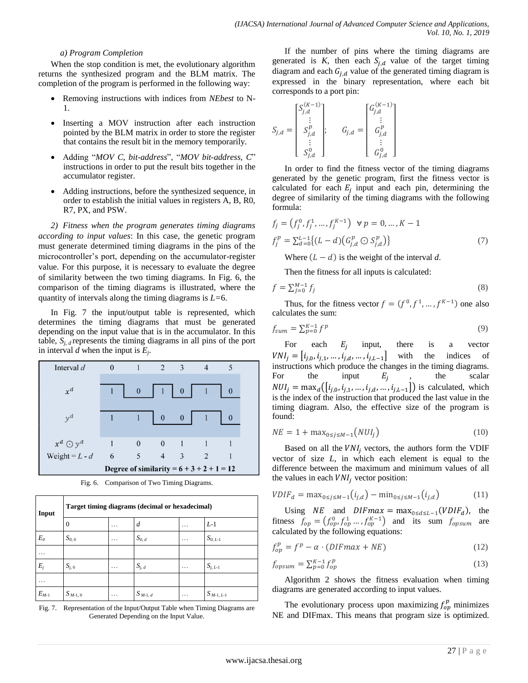#### *a) Program Completion*

When the stop condition is met, the evolutionary algorithm returns the synthesized program and the BLM matrix. The completion of the program is performed in the following way:

- Removing instructions with indices from *NEbest* to N-1.
- Inserting a MOV instruction after each instruction pointed by the BLM matrix in order to store the register that contains the result bit in the memory temporarily.
- Adding "MOV C, bit-address", "MOV bit-address, C" instructions in order to put the result bits together in the accumulator register.
- Adding instructions, before the synthesized sequence, in order to establish the initial values in registers A, B, R0, R7, PX, and PSW.

*2) Fitness when the program generates timing diagrams according to input values*: In this case, the genetic program must generate determined timing diagrams in the pins of the microcontroller's port, depending on the accumulator-register value. For this purpose, it is necessary to evaluate the degree of similarity between the two timing diagrams. In Fig. 6, the comparison of the timing diagrams is illustrated, where the quantity of intervals along the timing diagrams is *L=*6.

In Fig. 7 the input/output table is represented, which determines the timing diagrams that must be generated depending on the input value that is in the accumulator. In this table,  $S_{i,d}$  represents the timing diagrams in all pins of the port in interval *d* when the input is *E<sup>j</sup>* .

| Interval $d$       | $\overline{0}$ |          | $\mathfrak{D}$                                                  | $-3$                             |                                             | 5            |  |
|--------------------|----------------|----------|-----------------------------------------------------------------|----------------------------------|---------------------------------------------|--------------|--|
| $x^d$              |                | $\theta$ | $\begin{array}{ c c c c c } \hline 1 & 0 \\ \hline \end{array}$ |                                  | $\overline{1}$                              | $\mathbf{0}$ |  |
| $y^d$              |                |          | $\overline{0}$                                                  | $\begin{array}{c} 0 \end{array}$ |                                             | $\theta$     |  |
| $x^d \bigodot y^d$ |                |          | $\overline{\phantom{0}}$                                        |                                  |                                             |              |  |
| Weight = $L - d$   | 6              | 5        | 4                                                               | -3                               | $\overline{2}$                              |              |  |
|                    |                |          |                                                                 |                                  | Degree of similarity = $6 + 3 + 2 + 1 = 12$ |              |  |

Fig. 6. Comparison of Two Timing Diagrams.

| Input     | Target timing diagrams (decimal or hexadecimal) |                 |              |   |                |  |  |  |
|-----------|-------------------------------------------------|-----------------|--------------|---|----------------|--|--|--|
|           | 0                                               | .               | d            | . | $L-1$          |  |  |  |
| $E_0$     | $S_{0.0}$                                       | $\cdot$ $\cdot$ | $S_{0,d}$    | . | $S_{0, L-1}$   |  |  |  |
|           |                                                 |                 |              |   |                |  |  |  |
| $E_i$     | $S_{i,0}$                                       | .               | $S_{i,d}$    | . | $S_{j,L-1}$    |  |  |  |
| .         |                                                 |                 |              |   |                |  |  |  |
| $E_{M-1}$ | $S_{M-1, 0}$                                    | .               | $S_{M-1, d}$ | . | $S_{M-1, L-1}$ |  |  |  |

Fig. 7. Representation of the Input/Output Table when Timing Diagrams are Generated Depending on the Input Value.

If the number of pins where the timing diagrams are generated is  $K$ , then each  $S_{i,d}$  value of the target timing diagram and each  $G_{i,d}$  value of the generated timing diagram is expressed in the binary representation, where each bit corresponds to a port pin:

$$
S_{j,d} = \begin{bmatrix} S_{j,d}^{(K-1)} \\ \vdots \\ S_{j,d}^{p} \\ \vdots \\ S_{j,d}^{0} \end{bmatrix}; \quad G_{j,d} = \begin{bmatrix} G_{j,d}^{(K-1)} \\ \vdots \\ G_{j,d}^{p} \\ \vdots \\ G_{j,d}^{0} \end{bmatrix}
$$

In order to find the fitness vector of the timing diagrams generated by the genetic program, first the fitness vector is calculated for each  $E_i$  input and each pin, determining the degree of similarity of the timing diagrams with the following formula:

$$
f_j = (f_j^0, f_j^1, \dots, f_j^{K-1}) \quad \forall \ p = 0, \dots, K-1
$$
  

$$
f_j^p = \sum_{d=0}^{L-1} \{ (L-d) (G_{j,d}^p \odot S_{j,d}^p) \}
$$
 (7)

Where  $(L - d)$  is the weight of the interval d.

Then the fitness for all inputs is calculated:

$$
f = \sum_{j=0}^{M-1} f_j \tag{8}
$$

Thus, for the fitness vector  $f = (f^0, f^1, ..., f^{K-1})$  one also calculates the sum:

$$
f_{sum} = \sum_{p=0}^{K-1} f^p \tag{9}
$$

For each  $E_i$  input, there is a vector  $VNI_i = [i_{i,0}, i_{i,1}, ..., i_{i,d}, ..., i_{i,L-1}]$  with the indices of instructions which produce the changes in the timing diagrams. For the input  $E_i$ the scalar  $NUI_i = \max_d([i_{i,0}, i_{i,1}, ..., i_{i,d}, ..., i_{i,L-1}])$  is calculated, which is the index of the instruction that produced the last value in the timing diagram. Also, the effective size of the program is found:

$$
NE = 1 + \max_{0 \le j \le M-1} (NUI_j)
$$
 (10)

Based on all the  $VNI<sub>j</sub>$  vectors, the authors form the VDIF vector of size *L*, in which each element is equal to the difference between the maximum and minimum values of all the values in each  $VNI_i$  vector position:

$$
VDIF_d = \max_{0 \le j \le M-1} (i_{j,d}) - \min_{0 \le j \le M-1} (i_{j,d})
$$
 (11)

Using *NE* and *DIF max* = max<sub>0 ≤d ≤L-1</sub> (*VDIF<sub>d</sub>*), the fitness  $f_{\alpha p} = (f_{\alpha p}^0, f_{\alpha p}^1, \dots, f_{\alpha p}^{K-1})$  and its sum  $f_{\alpha p}$  are calculated by the following equations:

$$
f_{op}^p = f^p - \alpha \cdot (DIFmax + NE)
$$
 (12)

$$
f_{opsum} = \sum_{p=0}^{K-1} f_{op}^p \tag{13}
$$

Algorithm 2 shows the fitness evaluation when timing diagrams are generated according to input values.

The evolutionary process upon maximizing  $f_{op}^p$  minimizes NE and DIFmax. This means that program size is optimized.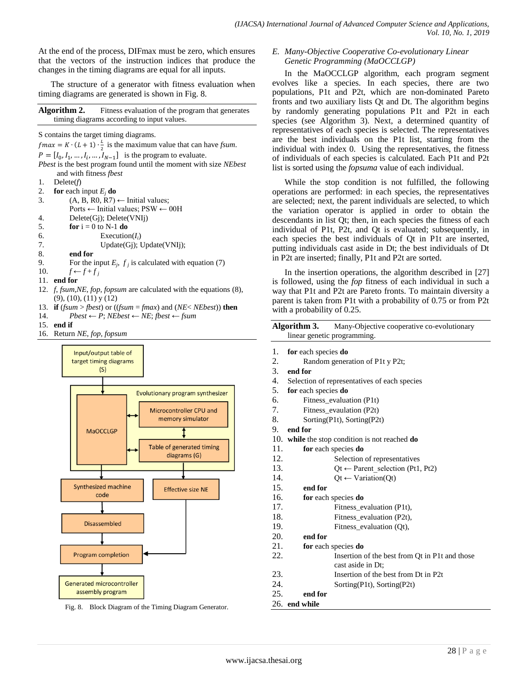At the end of the process, DIFmax must be zero, which ensures that the vectors of the instruction indices that produce the changes in the timing diagrams are equal for all inputs.

The structure of a generator with fitness evaluation when timing diagrams are generated is shown in Fig. 8.

**Algorithm 2.** Fitness evaluation of the program that generates timing diagrams according to input values.

S contains the target timing diagrams.

 $f$ max =  $K \cdot (L + 1) \cdot \frac{L}{2}$  $\frac{L}{2}$  is the maximum value that can have *fsum*.  $P = [I_0, I_1, \dots, I_i, \dots, I_{N-1}]$  is the program to evaluate. *Pbest* is the best program found until the moment with size *NEbest* and with fitness *fbest* 1. Delete(*f*) 2. **for** each input  $E_j$  **do**<br>3. (A, B, R0, R7)  $(A, B, R0, R7) \leftarrow$  Initial values; Ports ← Initial values; PSW ← 00H 4. Delete(Gj); Delete(VNIj) 5. **for**  $i = 0$  to N-1 **do** 6. Execution $(I_i)$ 7. Update(Gj); Update(VNIj); 8. **end for** 9. For the input  $E_j$ ,  $f_j$  is calculated with equation (7) 10.  $f \leftarrow f + f_j$ 11. **end for** 12. *f*, *fsum,NE, fop, fopsum* are calculated with the equations (8), (9), (10), (11) y (12) 13. **if** (*fsum* > *fbest*) or ((*fsum* = *fmax*) and (*NE*< *NEbest*)) **then** 14. *Pbest* ← *P*; *NEbest* ← *NE*; *fbest* ← *fsum*

- 15. **end if**
- 16. Return *NE*, *fop, fopsum*



Fig. 8. Block Diagram of the Timing Diagram Generator.

*E. Many-Objective Cooperative Co-evolutionary Linear Genetic Programming (MaOCCLGP)*

In the MaOCCLGP algorithm, each program segment evolves like a species. In each species, there are two populations, P1t and P2t, which are non-dominated Pareto fronts and two auxiliary lists Qt and Dt. The algorithm begins by randomly generating populations P1t and P2t in each species (see Algorithm 3). Next, a determined quantity of representatives of each species is selected. The representatives are the best individuals on the P1t list, starting from the individual with index 0. Using the representatives, the fitness of individuals of each species is calculated. Each P1t and P2t list is sorted using the *fopsuma* value of each individual.

While the stop condition is not fulfilled, the following operations are performed: in each species, the representatives are selected; next, the parent individuals are selected, to which the variation operator is applied in order to obtain the descendants in list Qt; then, in each species the fitness of each individual of P1t, P2t, and Qt is evaluated; subsequently, in each species the best individuals of Qt in P1t are inserted, putting individuals cast aside in Dt; the best individuals of Dt in P2t are inserted; finally, P1t and P2t are sorted.

In the insertion operations, the algorithm described in [27] is followed, using the *fop* fitness of each individual in such a way that P1t and P2t are Pareto fronts. To maintain diversity a parent is taken from P1t with a probability of 0.75 or from P2t with a probability of 0.25.

Algorithm 3. Many-Objective cooperative co-evolutionary linear genetic programming.

- 1. **for** each species **do**
- 2. Random generation of P1t y P2t;
- 3. **end for**
- 4. Selection of representatives of each species
- 5. **for** each species **do**
- 6. Fitness\_evaluation (P1t)
- 7. Fitness\_evaulation (P2t)
- 8. Sorting(P1t), Sorting(P2t)
- 9. **end for**
- 10. **while** the stop condition is not reached **do**
- 11. **for** each species **do**
- 12. Selection of representatives
- 13. Qt ← Parent selection (Pt1, Pt2)
- 14.  $\text{Or} \leftarrow \text{Variation}(\text{Or})$

15. **end for**

- 16. **for** each species **do**
- 17. Fitness\_evaluation (P1t), 18. Fitness evaluation (P2t),
- 19. Fitness\_evaluation (Qt),

20. **end for**

21. **for** each species **do**

- 22. Insertion of the best from Qt in P1t and those cast aside in Dt;
- 23. Insertion of the best from Dt in P2t
- 24. Sorting(P1t), Sorting(P2t)
- 25. **end for**
- 26. **end while**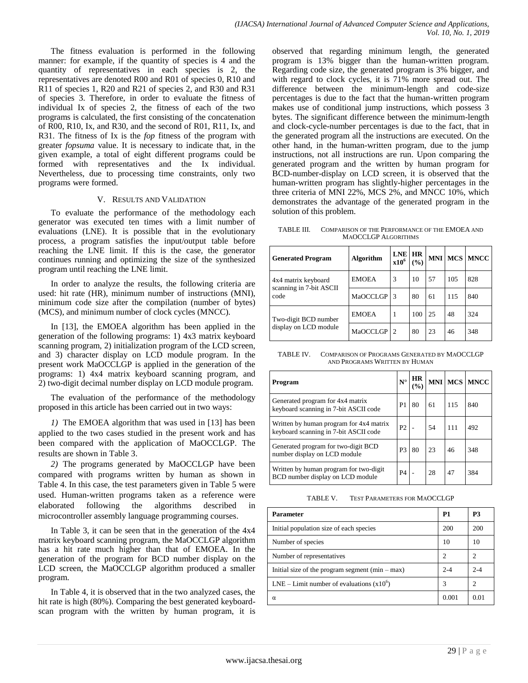The fitness evaluation is performed in the following manner: for example, if the quantity of species is 4 and the quantity of representatives in each species is 2, the representatives are denoted R00 and R01 of species 0, R10 and R11 of species 1, R20 and R21 of species 2, and R30 and R31 of species 3. Therefore, in order to evaluate the fitness of individual Ix of species 2, the fitness of each of the two programs is calculated, the first consisting of the concatenation of R00, R10, Ix, and R30, and the second of R01, R11, Ix, and R31. The fitness of Ix is the *fop* fitness of the program with greater *fopsuma* value. It is necessary to indicate that, in the given example, a total of eight different programs could be formed with representatives and the Ix individual. Nevertheless, due to processing time constraints, only two programs were formed.

#### V. RESULTS AND VALIDATION

To evaluate the performance of the methodology each generator was executed ten times with a limit number of evaluations (LNE). It is possible that in the evolutionary process, a program satisfies the input/output table before reaching the LNE limit. If this is the case, the generator continues running and optimizing the size of the synthesized program until reaching the LNE limit.

In order to analyze the results, the following criteria are used: hit rate (HR), minimum number of instructions (MNI), minimum code size after the compilation (number of bytes) (MCS), and minimum number of clock cycles (MNCC).

In [13], the EMOEA algorithm has been applied in the generation of the following programs: 1) 4x3 matrix keyboard scanning program, 2) initialization program of the LCD screen, and 3) character display on LCD module program. In the present work MaOCCLGP is applied in the generation of the programs: 1) 4x4 matrix keyboard scanning program, and 2) two-digit decimal number display on LCD module program.

The evaluation of the performance of the methodology proposed in this article has been carried out in two ways:

*1)* The EMOEA algorithm that was used in [13] has been applied to the two cases studied in the present work and has been compared with the application of MaOCCLGP. The results are shown in Table 3.

*2)* The programs generated by MaOCCLGP have been compared with programs written by human as shown in Table 4. In this case, the test parameters given in Table 5 were used. Human-written programs taken as a reference were elaborated following the algorithms described in microcontroller assembly language programming courses.

In Table 3, it can be seen that in the generation of the 4x4 matrix keyboard scanning program, the MaOCCLGP algorithm has a hit rate much higher than that of EMOEA. In the generation of the program for BCD number display on the LCD screen, the MaOCCLGP algorithm produced a smaller program.

In Table 4, it is observed that in the two analyzed cases, the hit rate is high (80%). Comparing the best generated keyboardscan program with the written by human program, it is observed that regarding minimum length, the generated program is 13% bigger than the human-written program. Regarding code size, the generated program is 3% bigger, and with regard to clock cycles, it is 71% more spread out. The difference between the minimum-length and code-size percentages is due to the fact that the human-written program makes use of conditional jump instructions, which possess 3 bytes. The significant difference between the minimum-length and clock-cycle-number percentages is due to the fact, that in the generated program all the instructions are executed. On the other hand, in the human-written program, due to the jump instructions, not all instructions are run. Upon comparing the generated program and the written by human program for BCD-number-display on LCD screen, it is observed that the human-written program has slightly-higher percentages in the three criteria of MNI 22%, MCS 2%, and MNCC 10%, which demonstrates the advantage of the generated program in the solution of this problem.

TABLE III. COMPARISON OF THE PERFORMANCE OF THE EMOEA AND MAOCCLGP ALGORITHMS

| <b>Generated Program</b>                       | <b>Algorithm</b> | LNE HR<br>x10 <sup>6</sup> | (9/0) |    |     | <b>MNI MCS MNCC</b> |
|------------------------------------------------|------------------|----------------------------|-------|----|-----|---------------------|
| 4x4 matrix keyboard<br>scanning in 7-bit ASCII | <b>EMOEA</b>     | 3                          | 10    | 57 | 105 | 828                 |
| code                                           | <b>MaOCCLGP</b>  | 3                          | 80    | 61 | 115 | 840                 |
| Two-digit BCD number                           | <b>EMOEA</b>     | 1                          | 100   | 25 | 48  | 324                 |
| display on LCD module                          | <b>MaOCCLGP</b>  | $\overline{2}$             | 80    | 23 | 46  | 348                 |

TABLE IV. COMPARISON OF PROGRAMS GENERATED BY MAOCCLGP AND PROGRAMS WRITTEN BY HUMAN

| Program                                                                          | $N^{\circ}$    | <b>HR</b><br>(%) |    |     | MNI MCS MNCC |
|----------------------------------------------------------------------------------|----------------|------------------|----|-----|--------------|
| Generated program for 4x4 matrix<br>keyboard scanning in 7-bit ASCII code        | P <sub>1</sub> | 80               | 61 | 115 | 840          |
| Written by human program for 4x4 matrix<br>keyboard scanning in 7-bit ASCII code | P <sub>2</sub> |                  | 54 | 111 | 492          |
| Generated program for two-digit BCD<br>number display on LCD module              | P <sub>3</sub> | 80               | 23 | 46  | 348          |
| Written by human program for two-digit<br>BCD number display on LCD module       | <b>P4</b>      |                  | 28 | 47  | 384          |

TABLE V. TEST PARAMETERS FOR MAOCCLGP

| <b>Parameter</b>                                  | P <sub>1</sub> | P3                          |
|---------------------------------------------------|----------------|-----------------------------|
| Initial population size of each species           | 200            | 200                         |
| Number of species                                 | 10             | 10                          |
| Number of representatives                         | 2              | 2                           |
| Initial size of the program segment $(min - max)$ | $2 - 4$        | $2 - 4$                     |
| LNE – Limit number of evaluations $(x10^{\circ})$ | 3              | $\mathcal{D}_{\mathcal{A}}$ |
| α                                                 | 0.001          | 0.01                        |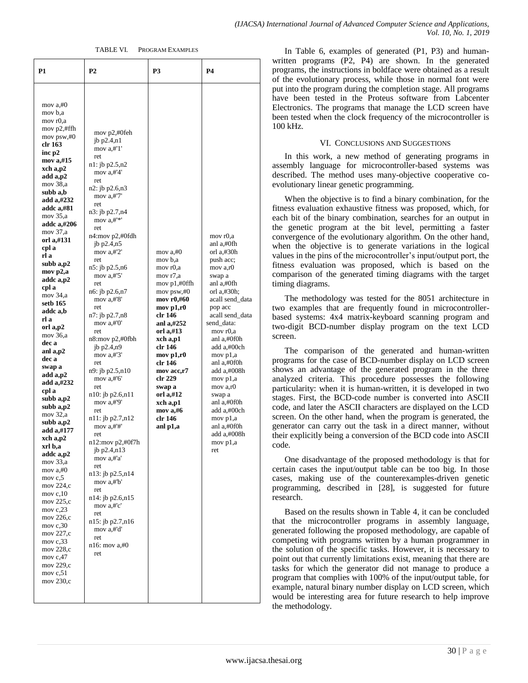#### TABLE VI. PROGRAM EXAMPLES

| P1                                                                                                                                                                                                                                                                                                                                                                                                                                                                                                                                                                                                                                                                                                                                                                               | <b>P2</b>                                                                                                                                                                                                                                                                                                                                                                                                                                                                                                                                                                                                                                                                                                                                                                                                | P3                                                                                                                                                                                                                                                                                                        | P4                                                                                                                                                                                                                                                                                                                                                                                   |
|----------------------------------------------------------------------------------------------------------------------------------------------------------------------------------------------------------------------------------------------------------------------------------------------------------------------------------------------------------------------------------------------------------------------------------------------------------------------------------------------------------------------------------------------------------------------------------------------------------------------------------------------------------------------------------------------------------------------------------------------------------------------------------|----------------------------------------------------------------------------------------------------------------------------------------------------------------------------------------------------------------------------------------------------------------------------------------------------------------------------------------------------------------------------------------------------------------------------------------------------------------------------------------------------------------------------------------------------------------------------------------------------------------------------------------------------------------------------------------------------------------------------------------------------------------------------------------------------------|-----------------------------------------------------------------------------------------------------------------------------------------------------------------------------------------------------------------------------------------------------------------------------------------------------------|--------------------------------------------------------------------------------------------------------------------------------------------------------------------------------------------------------------------------------------------------------------------------------------------------------------------------------------------------------------------------------------|
| mov $a, \#0$<br>mov b,a<br>mov r0,a<br>mov $p2,$ #ffh<br>mov psw,#0<br>clr 163<br>inc p2<br>mov a,#15<br>xch a,p2<br>add a,p2<br>mov 38,a<br>subb a,b<br>add a,#232<br>addc a,#81<br>mov 35,a<br>addc a,#206<br>mov 37,a<br>orl a,#131<br>cpl a<br>rl a<br>subb a,p2<br>mov p2,a<br>addc a,p2<br>cpl a<br>mov 34,a<br>setb 165<br>addc a,b<br>rl a<br>orl a,p2<br>mov 36,a<br>dec a<br>anl a,p2<br>dec a<br>swap a<br>add a,p2<br>add a,#232<br>cpl a<br>subb a,p2<br>subb a, p2<br>mov 32,a<br>subb a,p2<br>add a,#177<br>xch a,p2<br>xrl b,a<br>addc a,p2<br>mov 33,a<br>mov a,#0<br>mov $c, 5$<br>mov 224,c<br>mov $c,10$<br>mov 225,c<br>mov c,23<br>mov 226,c<br>mov $c,30$<br>mov 227,c<br>mov $c, 33$<br>mov 228,c<br>mov $c,47$<br>mov 229,c<br>mov $c, 51$<br>mov 230,c | mov $p2, \text{\#0feh}$<br>jb $p2.4,n1$<br>mov $a, #'1'$<br>ret<br>$n!$ : jb $p2.5,n2$<br>mov $a$ ,#'4'<br>ret<br>n2: jb p2.6,n3<br>mov $a, #7'$<br>ret<br>n3: jb p2.7,n4<br>mov a,#'*'<br>ret<br>n4:mov p2,#0fdh<br>jb $p2.4,n5$<br>mov $a, #'2'$<br>ret<br>$n5$ : jb $p2.5,n6$<br>mov $a, #'5'$<br>ret<br>n6: jb p2.6,n7<br>mov $a, #'8'$<br>ret<br>n7: jb p2.7,n8<br>mov $a, #'0'$<br>ret<br>n8:mov p2,#0fbh<br>jb $p2.4,p9$<br>mov $a, #'3'$<br>ret<br>n9: jb p2.5,n10<br>mov $a, #'6'$<br>ret<br>n10: jb p2.6,n11<br>mov $a, #'9'$<br>ret<br>n11: jb p2.7,n12<br>mov $a, #'#'$<br>ret<br>n12:mov p2,#0f7h<br>jb p2.4,n13<br>mov a,#'a'<br>ret<br>n13: jb p2.5,n14<br>mov a.#'b'<br>ret<br>n14: jb p2.6,n15<br>mov a,#'c'<br>ret<br>n15: jb p2.7,n16<br>mov a.#'d'<br>ret<br>$n16$ : mov a,#0<br>ret | mov $a, \#0$<br>mov b,a<br>mov r0,a<br>mov r7,a<br>mov $p1, \text{\#Offh}$<br>mov psw,#0<br>mov r0,#60<br>mov p1,r0<br>clr 146<br>anl a,#252<br>orl a,#13<br>xch a,p1<br>clr 146<br>mov p1,r0<br>clr 146<br>mov acc,r7<br>clr 229<br>swap a<br>orl a,#12<br>xch a,p1<br>mov $a,#6$<br>clr 146<br>anl p1,a | mov r0,a<br>anl a,#0fh<br>orl a,#30h<br>push acc;<br>mov a,r0<br>swap a<br>anl a,#0fh<br>orl a,#30h;<br>acall send_data<br>pop acc<br>acall send_data<br>send_data:<br>mov r0,a<br>anl a,#0f0h<br>add a,#00ch<br>mov p1,a<br>anl a,#0f0h<br>add a,#008h<br>mov p1,a<br>mov a,r0<br>swap a<br>anl a,#0f0h<br>add a,#00ch<br>mov p1,a<br>anl a,#0f0h<br>add a,#008h<br>mov p1,a<br>ret |

In Table 6, examples of generated (P1, P3) and humanwritten programs (P2, P4) are shown. In the generated programs, the instructions in boldface were obtained as a result of the evolutionary process, while those in normal font were put into the program during the completion stage. All programs have been tested in the Proteus software from Labcenter Electronics. The programs that manage the LCD screen have been tested when the clock frequency of the microcontroller is 100 kHz.

#### VI. CONCLUSIONS AND SUGGESTIONS

In this work, a new method of generating programs in assembly language for microcontroller-based systems was described. The method uses many-objective cooperative coevolutionary linear genetic programming.

When the objective is to find a binary combination, for the fitness evaluation exhaustive fitness was proposed, which, for each bit of the binary combination, searches for an output in the genetic program at the bit level, permitting a faster convergence of the evolutionary algorithm. On the other hand, when the objective is to generate variations in the logical values in the pins of the microcontroller's input/output port, the fitness evaluation was proposed, which is based on the comparison of the generated timing diagrams with the target timing diagrams.

The methodology was tested for the 8051 architecture in two examples that are frequently found in microcontrollerbased systems: 4x4 matrix-keyboard scanning program and two-digit BCD-number display program on the text LCD screen.

The comparison of the generated and human-written programs for the case of BCD-number display on LCD screen shows an advantage of the generated program in the three analyzed criteria. This procedure possesses the following particularity: when it is human-written, it is developed in two stages. First, the BCD-code number is converted into ASCII code, and later the ASCII characters are displayed on the LCD screen. On the other hand, when the program is generated, the generator can carry out the task in a direct manner, without their explicitly being a conversion of the BCD code into ASCII code.

One disadvantage of the proposed methodology is that for certain cases the input/output table can be too big. In those cases, making use of the counterexamples-driven genetic programming, described in [28], is suggested for future research.

Based on the results shown in Table 4, it can be concluded that the microcontroller programs in assembly language, generated following the proposed methodology, are capable of competing with programs written by a human programmer in the solution of the specific tasks. However, it is necessary to point out that currently limitations exist, meaning that there are tasks for which the generator did not manage to produce a program that complies with 100% of the input/output table, for example, natural binary number display on LCD screen, which would be interesting area for future research to help improve the methodology.